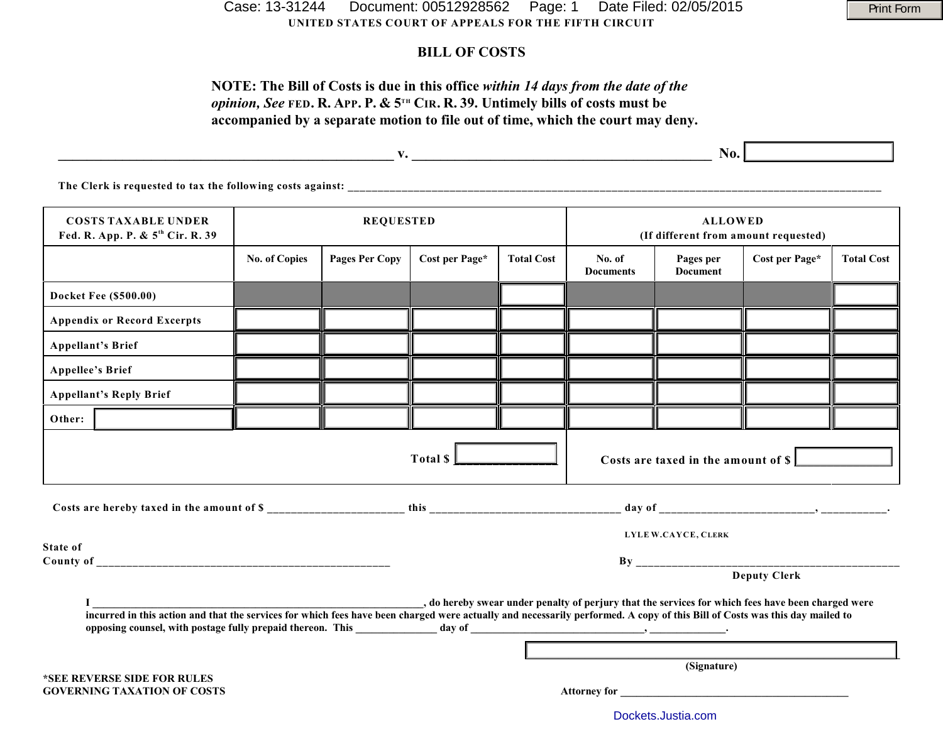**UNITED STATES COURT OF APPEALS FOR THE FIFTH CIRCUIT** Case: 13-31244 Document: 00512928562 Page: 1 Date Filed: 02/05/2015 Parint Form

## **BILL OF COSTS**

# **NOTE: The Bill of Costs is due in this office** *within 14 days from the date of the opinion, See* FED. R. APP. P. & 5<sup>TH</sup> CIR. R. 39. Untimely bills of costs must be **accompanied by a separate motion to file out of time, which the court may deny.**

|                                                                            |                      |                       |                |                   | No.                                                    |           |                |                   |  |
|----------------------------------------------------------------------------|----------------------|-----------------------|----------------|-------------------|--------------------------------------------------------|-----------|----------------|-------------------|--|
| The Clerk is requested to tax the following costs against:                 |                      |                       |                |                   |                                                        |           |                |                   |  |
| <b>COSTS TAXABLE UNDER</b><br>Fed. R. App. P. & 5 <sup>th</sup> Cir. R. 39 | <b>REQUESTED</b>     |                       |                |                   | <b>ALLOWED</b><br>(If different from amount requested) |           |                |                   |  |
|                                                                            | <b>No. of Copies</b> | <b>Pages Per Copy</b> | Cost per Page* | <b>Total Cost</b> | No. of                                                 | Pages per | Cost per Page* | <b>Total Cost</b> |  |

|                                                                                                    |  |                                                                                                                                                                                                                                |  |  | <b>Documents</b> | <b>Document</b> |                     |  |  |
|----------------------------------------------------------------------------------------------------|--|--------------------------------------------------------------------------------------------------------------------------------------------------------------------------------------------------------------------------------|--|--|------------------|-----------------|---------------------|--|--|
| <b>Docket Fee (\$500.00)</b>                                                                       |  |                                                                                                                                                                                                                                |  |  |                  |                 |                     |  |  |
| <b>Appendix or Record Excerpts</b>                                                                 |  |                                                                                                                                                                                                                                |  |  |                  |                 |                     |  |  |
| <b>Appellant's Brief</b>                                                                           |  |                                                                                                                                                                                                                                |  |  |                  |                 |                     |  |  |
| <b>Appellee's Brief</b>                                                                            |  |                                                                                                                                                                                                                                |  |  |                  |                 |                     |  |  |
| <b>Appellant's Reply Brief</b>                                                                     |  |                                                                                                                                                                                                                                |  |  |                  |                 |                     |  |  |
| Other:                                                                                             |  |                                                                                                                                                                                                                                |  |  |                  |                 |                     |  |  |
| Total $\mathsf{\mathsf{S}}\mathsf{\mathsf{L}}$<br>Costs are taxed in the amount of \$              |  |                                                                                                                                                                                                                                |  |  |                  |                 |                     |  |  |
|                                                                                                    |  |                                                                                                                                                                                                                                |  |  |                  |                 |                     |  |  |
| <b>State of</b>                                                                                    |  | LYLE W.CAYCE, CLERK                                                                                                                                                                                                            |  |  |                  |                 |                     |  |  |
|                                                                                                    |  |                                                                                                                                                                                                                                |  |  |                  |                 |                     |  |  |
|                                                                                                    |  |                                                                                                                                                                                                                                |  |  |                  |                 | <b>Deputy Clerk</b> |  |  |
| , do hereby swear under penalty of perjury that the services for which fees have been charged were |  |                                                                                                                                                                                                                                |  |  |                  |                 |                     |  |  |
|                                                                                                    |  |                                                                                                                                                                                                                                |  |  |                  |                 |                     |  |  |
| *SEE REVERSE SIDE FOR RULES                                                                        |  | (Signature)                                                                                                                                                                                                                    |  |  |                  |                 |                     |  |  |
| <b>GOVERNING TAXATION OF COSTS</b>                                                                 |  | Attorney for the contract of the contract of the contract of the contract of the contract of the contract of the contract of the contract of the contract of the contract of the contract of the contract of the contract of t |  |  |                  |                 |                     |  |  |

[Dockets.Justia.com](http://dockets.justia.com/)